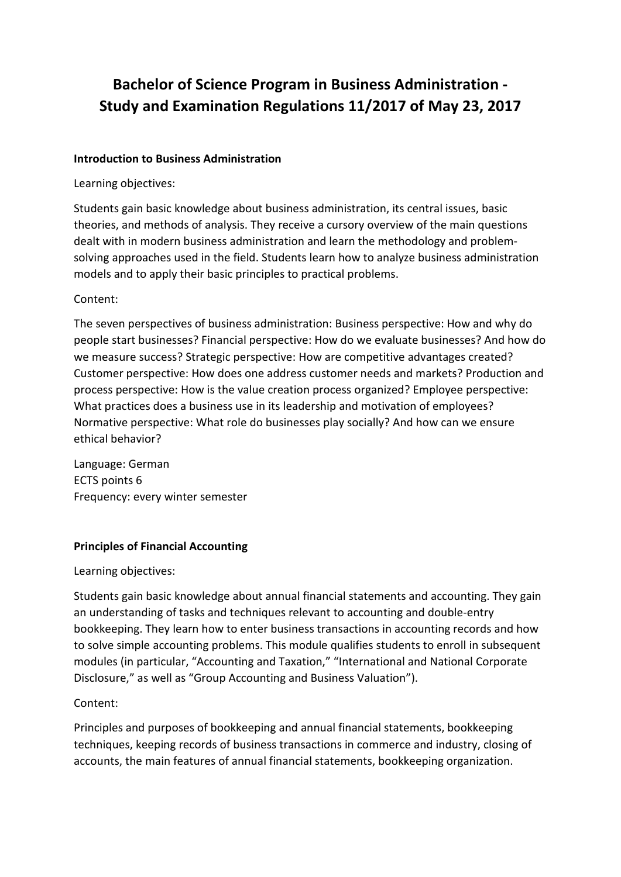# **Bachelor of Science Program in Business Administration - Study and Examination Regulations 11/2017 of May 23, 2017**

## **Introduction to Business Administration**

Learning objectives:

Students gain basic knowledge about business administration, its central issues, basic theories, and methods of analysis. They receive a cursory overview of the main questions dealt with in modern business administration and learn the methodology and problemsolving approaches used in the field. Students learn how to analyze business administration models and to apply their basic principles to practical problems.

Content:

The seven perspectives of business administration: Business perspective: How and why do people start businesses? Financial perspective: How do we evaluate businesses? And how do we measure success? Strategic perspective: How are competitive advantages created? Customer perspective: How does one address customer needs and markets? Production and process perspective: How is the value creation process organized? Employee perspective: What practices does a business use in its leadership and motivation of employees? Normative perspective: What role do businesses play socially? And how can we ensure ethical behavior?

Language: German ECTS points 6 Frequency: every winter semester

# **Principles of Financial Accounting**

Learning objectives:

Students gain basic knowledge about annual financial statements and accounting. They gain an understanding of tasks and techniques relevant to accounting and double-entry bookkeeping. They learn how to enter business transactions in accounting records and how to solve simple accounting problems. This module qualifies students to enroll in subsequent modules (in particular, "Accounting and Taxation," "International and National Corporate Disclosure," as well as "Group Accounting and Business Valuation").

# Content:

Principles and purposes of bookkeeping and annual financial statements, bookkeeping techniques, keeping records of business transactions in commerce and industry, closing of accounts, the main features of annual financial statements, bookkeeping organization.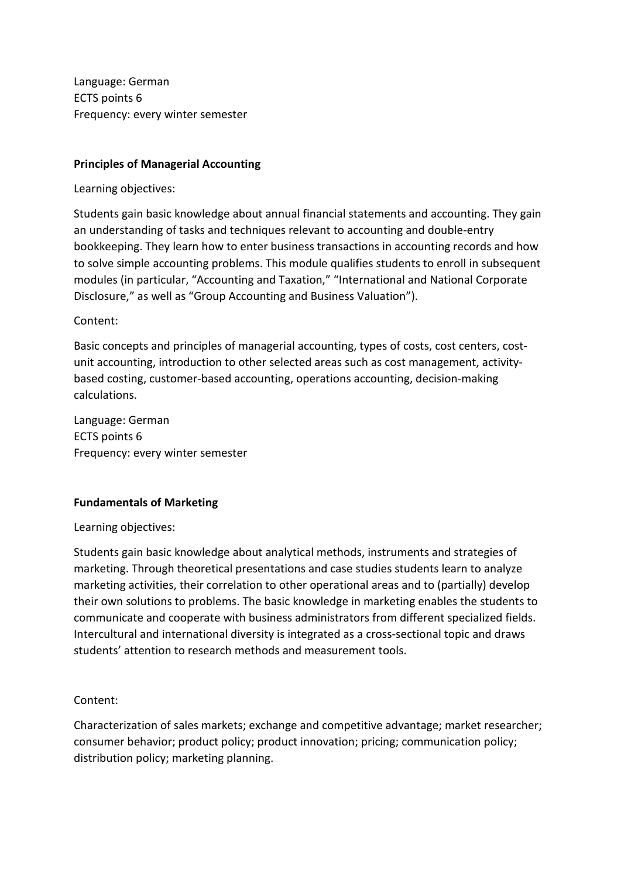Language: German ECTS points 6 Frequency: every winter semester

## **Principles of Managerial Accounting**

Learning objectives:

Students gain basic knowledge about annual financial statements and accounting. They gain an understanding of tasks and techniques relevant to accounting and double-entry bookkeeping. They learn how to enter business transactions in accounting records and how to solve simple accounting problems. This module qualifies students to enroll in subsequent modules (in particular, "Accounting and Taxation," "International and National Corporate Disclosure," as well as "Group Accounting and Business Valuation").

## Content:

Basic concepts and principles of managerial accounting, types of costs, cost centers, costunit accounting, introduction to other selected areas such as cost management, activitybased costing, customer-based accounting, operations accounting, decision-making calculations.

Language: German ECTS points 6 Frequency: every winter semester

#### **Fundamentals of Marketing**

#### Learning objectives:

Students gain basic knowledge about analytical methods, instruments and strategies of marketing. Through theoretical presentations and case studies students learn to analyze marketing activities, their correlation to other operational areas and to (partially) develop their own solutions to problems. The basic knowledge in marketing enables the students to communicate and cooperate with business administrators from different specialized fields. Intercultural and international diversity is integrated as a cross-sectional topic and draws students' attention to research methods and measurement tools.

# Content:

Characterization of sales markets; exchange and competitive advantage; market researcher; consumer behavior; product policy; product innovation; pricing; communication policy; distribution policy; marketing planning.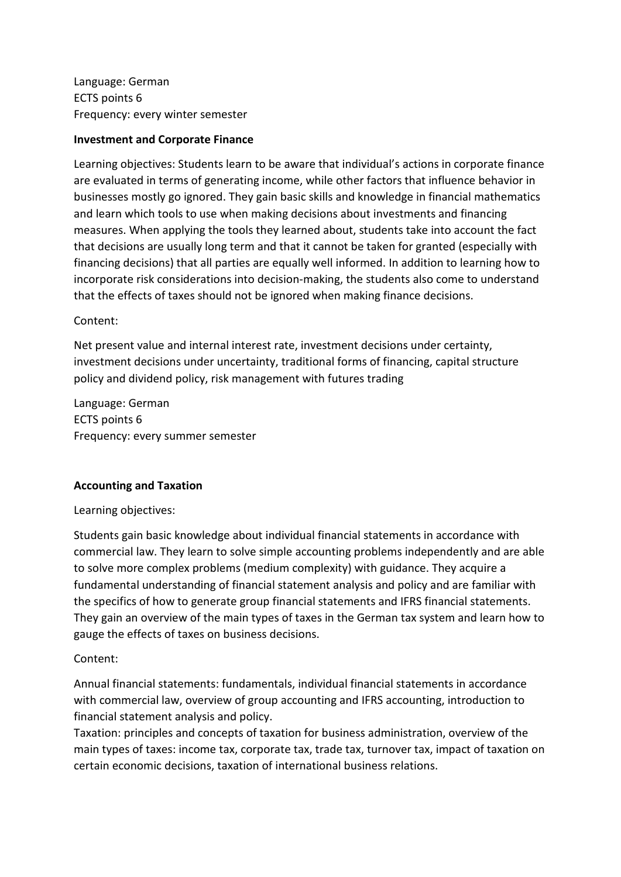Language: German ECTS points 6 Frequency: every winter semester

#### **Investment and Corporate Finance**

Learning objectives: Students learn to be aware that individual's actions in corporate finance are evaluated in terms of generating income, while other factors that influence behavior in businesses mostly go ignored. They gain basic skills and knowledge in financial mathematics and learn which tools to use when making decisions about investments and financing measures. When applying the tools they learned about, students take into account the fact that decisions are usually long term and that it cannot be taken for granted (especially with financing decisions) that all parties are equally well informed. In addition to learning how to incorporate risk considerations into decision-making, the students also come to understand that the effects of taxes should not be ignored when making finance decisions.

## Content:

Net present value and internal interest rate, investment decisions under certainty, investment decisions under uncertainty, traditional forms of financing, capital structure policy and dividend policy, risk management with futures trading

Language: German ECTS points 6 Frequency: every summer semester

#### **Accounting and Taxation**

#### Learning objectives:

Students gain basic knowledge about individual financial statements in accordance with commercial law. They learn to solve simple accounting problems independently and are able to solve more complex problems (medium complexity) with guidance. They acquire a fundamental understanding of financial statement analysis and policy and are familiar with the specifics of how to generate group financial statements and IFRS financial statements. They gain an overview of the main types of taxes in the German tax system and learn how to gauge the effects of taxes on business decisions.

#### Content:

Annual financial statements: fundamentals, individual financial statements in accordance with commercial law, overview of group accounting and IFRS accounting, introduction to financial statement analysis and policy.

Taxation: principles and concepts of taxation for business administration, overview of the main types of taxes: income tax, corporate tax, trade tax, turnover tax, impact of taxation on certain economic decisions, taxation of international business relations.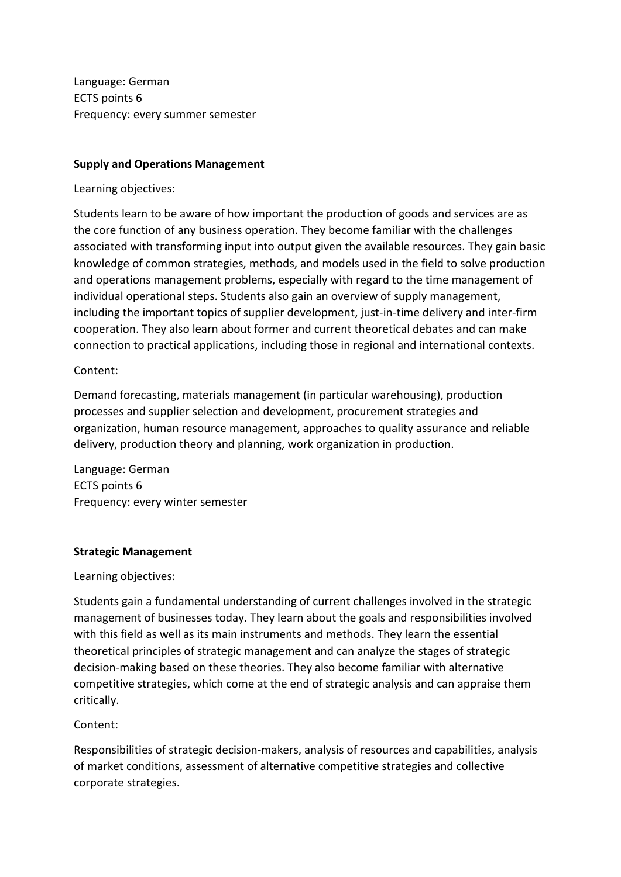Language: German ECTS points 6 Frequency: every summer semester

### **Supply and Operations Management**

Learning objectives:

Students learn to be aware of how important the production of goods and services are as the core function of any business operation. They become familiar with the challenges associated with transforming input into output given the available resources. They gain basic knowledge of common strategies, methods, and models used in the field to solve production and operations management problems, especially with regard to the time management of individual operational steps. Students also gain an overview of supply management, including the important topics of supplier development, just-in-time delivery and inter-firm cooperation. They also learn about former and current theoretical debates and can make connection to practical applications, including those in regional and international contexts.

## Content:

Demand forecasting, materials management (in particular warehousing), production processes and supplier selection and development, procurement strategies and organization, human resource management, approaches to quality assurance and reliable delivery, production theory and planning, work organization in production.

Language: German ECTS points 6 Frequency: every winter semester

# **Strategic Management**

Learning objectives:

Students gain a fundamental understanding of current challenges involved in the strategic management of businesses today. They learn about the goals and responsibilities involved with this field as well as its main instruments and methods. They learn the essential theoretical principles of strategic management and can analyze the stages of strategic decision-making based on these theories. They also become familiar with alternative competitive strategies, which come at the end of strategic analysis and can appraise them critically.

# Content:

Responsibilities of strategic decision-makers, analysis of resources and capabilities, analysis of market conditions, assessment of alternative competitive strategies and collective corporate strategies.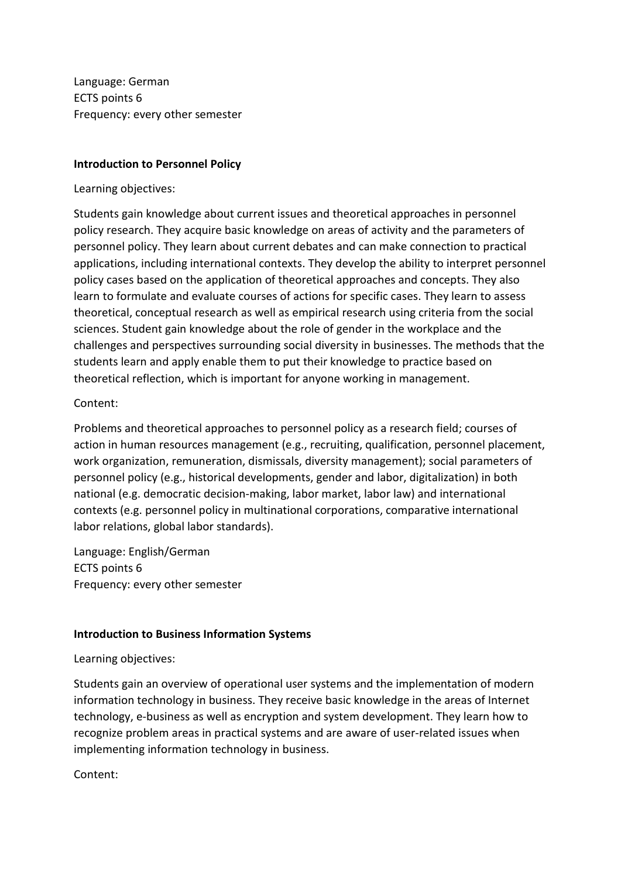Language: German ECTS points 6 Frequency: every other semester

#### **Introduction to Personnel Policy**

### Learning objectives:

Students gain knowledge about current issues and theoretical approaches in personnel policy research. They acquire basic knowledge on areas of activity and the parameters of personnel policy. They learn about current debates and can make connection to practical applications, including international contexts. They develop the ability to interpret personnel policy cases based on the application of theoretical approaches and concepts. They also learn to formulate and evaluate courses of actions for specific cases. They learn to assess theoretical, conceptual research as well as empirical research using criteria from the social sciences. Student gain knowledge about the role of gender in the workplace and the challenges and perspectives surrounding social diversity in businesses. The methods that the students learn and apply enable them to put their knowledge to practice based on theoretical reflection, which is important for anyone working in management.

## Content:

Problems and theoretical approaches to personnel policy as a research field; courses of action in human resources management (e.g., recruiting, qualification, personnel placement, work organization, remuneration, dismissals, diversity management); social parameters of personnel policy (e.g., historical developments, gender and labor, digitalization) in both national (e.g. democratic decision-making, labor market, labor law) and international contexts (e.g. personnel policy in multinational corporations, comparative international labor relations, global labor standards).

Language: English/German ECTS points 6 Frequency: every other semester

# **Introduction to Business Information Systems**

#### Learning objectives:

Students gain an overview of operational user systems and the implementation of modern information technology in business. They receive basic knowledge in the areas of Internet technology, e-business as well as encryption and system development. They learn how to recognize problem areas in practical systems and are aware of user-related issues when implementing information technology in business.

Content: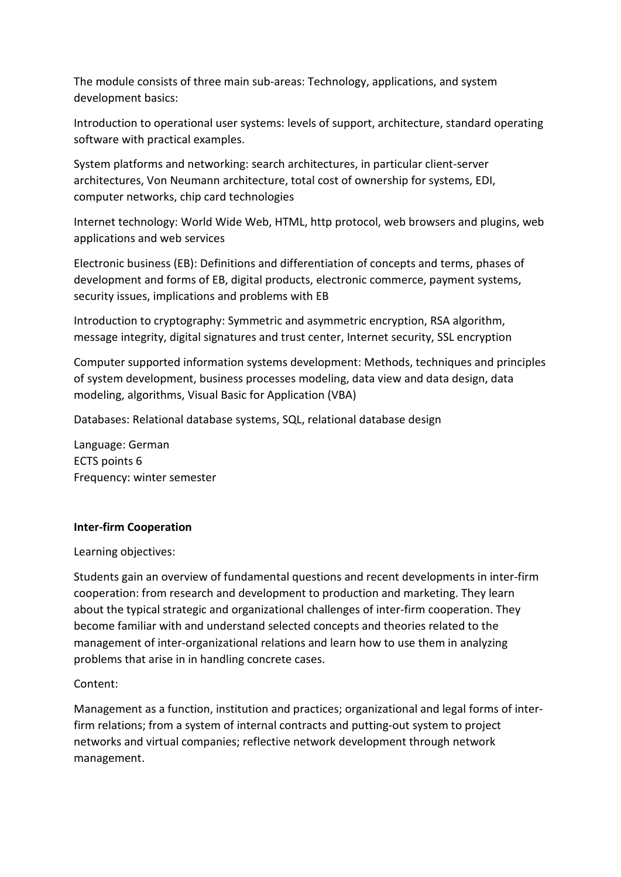The module consists of three main sub-areas: Technology, applications, and system development basics:

Introduction to operational user systems: levels of support, architecture, standard operating software with practical examples.

System platforms and networking: search architectures, in particular client-server architectures, Von Neumann architecture, total cost of ownership for systems, EDI, computer networks, chip card technologies

Internet technology: World Wide Web, HTML, http protocol, web browsers and plugins, web applications and web services

Electronic business (EB): Definitions and differentiation of concepts and terms, phases of development and forms of EB, digital products, electronic commerce, payment systems, security issues, implications and problems with EB

Introduction to cryptography: Symmetric and asymmetric encryption, RSA algorithm, message integrity, digital signatures and trust center, Internet security, SSL encryption

Computer supported information systems development: Methods, techniques and principles of system development, business processes modeling, data view and data design, data modeling, algorithms, Visual Basic for Application (VBA)

Databases: Relational database systems, SQL, relational database design

Language: German ECTS points 6 Frequency: winter semester

# **Inter-firm Cooperation**

# Learning objectives:

Students gain an overview of fundamental questions and recent developments in inter-firm cooperation: from research and development to production and marketing. They learn about the typical strategic and organizational challenges of inter-firm cooperation. They become familiar with and understand selected concepts and theories related to the management of inter-organizational relations and learn how to use them in analyzing problems that arise in in handling concrete cases.

# Content:

Management as a function, institution and practices; organizational and legal forms of interfirm relations; from a system of internal contracts and putting-out system to project networks and virtual companies; reflective network development through network management.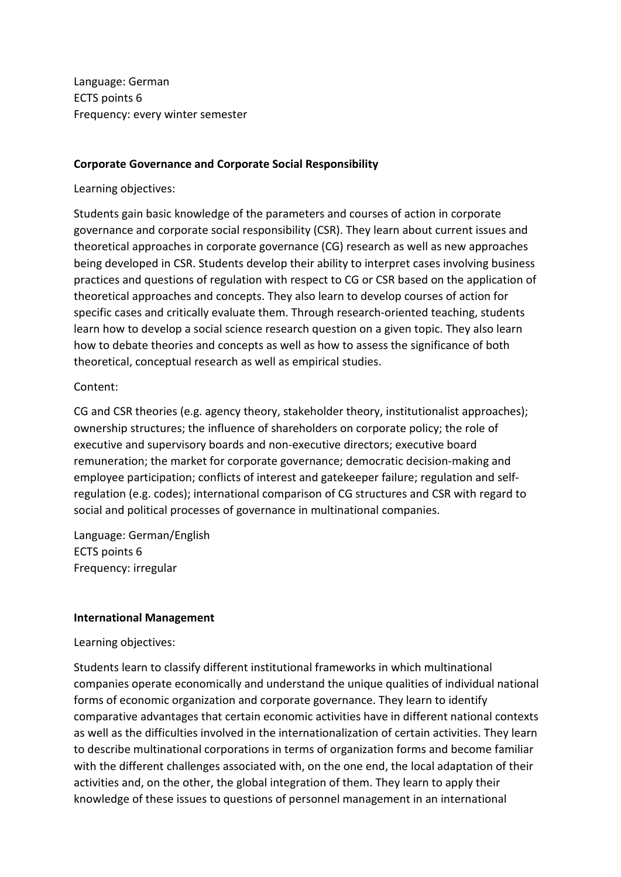Language: German ECTS points 6 Frequency: every winter semester

#### **Corporate Governance and Corporate Social Responsibility**

Learning objectives:

Students gain basic knowledge of the parameters and courses of action in corporate governance and corporate social responsibility (CSR). They learn about current issues and theoretical approaches in corporate governance (CG) research as well as new approaches being developed in CSR. Students develop their ability to interpret cases involving business practices and questions of regulation with respect to CG or CSR based on the application of theoretical approaches and concepts. They also learn to develop courses of action for specific cases and critically evaluate them. Through research-oriented teaching, students learn how to develop a social science research question on a given topic. They also learn how to debate theories and concepts as well as how to assess the significance of both theoretical, conceptual research as well as empirical studies.

#### Content:

CG and CSR theories (e.g. agency theory, stakeholder theory, institutionalist approaches); ownership structures; the influence of shareholders on corporate policy; the role of executive and supervisory boards and non-executive directors; executive board remuneration; the market for corporate governance; democratic decision-making and employee participation; conflicts of interest and gatekeeper failure; regulation and selfregulation (e.g. codes); international comparison of CG structures and CSR with regard to social and political processes of governance in multinational companies.

Language: German/English ECTS points 6 Frequency: irregular

#### **International Management**

#### Learning objectives:

Students learn to classify different institutional frameworks in which multinational companies operate economically and understand the unique qualities of individual national forms of economic organization and corporate governance. They learn to identify comparative advantages that certain economic activities have in different national contexts as well as the difficulties involved in the internationalization of certain activities. They learn to describe multinational corporations in terms of organization forms and become familiar with the different challenges associated with, on the one end, the local adaptation of their activities and, on the other, the global integration of them. They learn to apply their knowledge of these issues to questions of personnel management in an international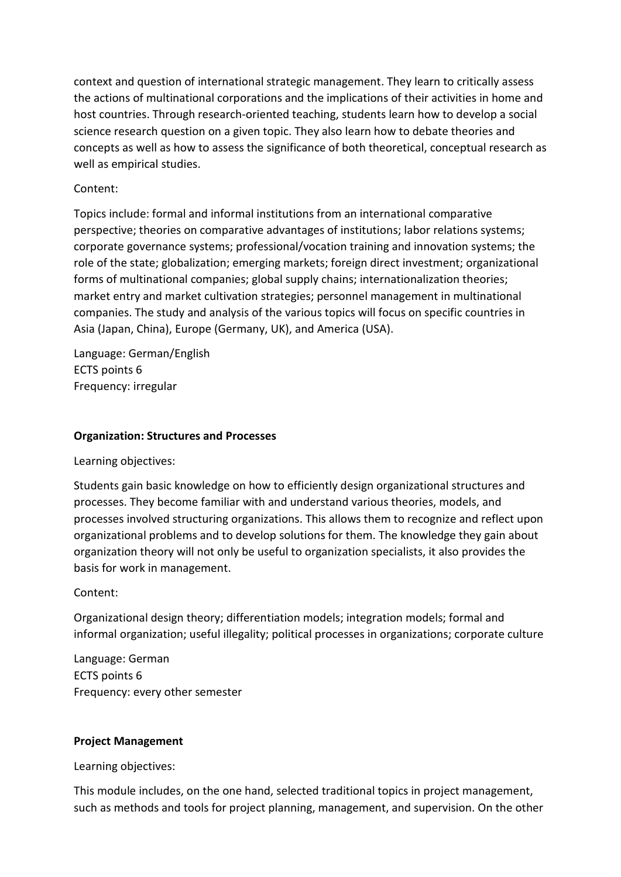context and question of international strategic management. They learn to critically assess the actions of multinational corporations and the implications of their activities in home and host countries. Through research-oriented teaching, students learn how to develop a social science research question on a given topic. They also learn how to debate theories and concepts as well as how to assess the significance of both theoretical, conceptual research as well as empirical studies.

## Content:

Topics include: formal and informal institutions from an international comparative perspective; theories on comparative advantages of institutions; labor relations systems; corporate governance systems; professional/vocation training and innovation systems; the role of the state; globalization; emerging markets; foreign direct investment; organizational forms of multinational companies; global supply chains; internationalization theories; market entry and market cultivation strategies; personnel management in multinational companies. The study and analysis of the various topics will focus on specific countries in Asia (Japan, China), Europe (Germany, UK), and America (USA).

Language: German/English ECTS points 6 Frequency: irregular

## **Organization: Structures and Processes**

Learning objectives:

Students gain basic knowledge on how to efficiently design organizational structures and processes. They become familiar with and understand various theories, models, and processes involved structuring organizations. This allows them to recognize and reflect upon organizational problems and to develop solutions for them. The knowledge they gain about organization theory will not only be useful to organization specialists, it also provides the basis for work in management.

Content:

Organizational design theory; differentiation models; integration models; formal and informal organization; useful illegality; political processes in organizations; corporate culture

Language: German ECTS points 6 Frequency: every other semester

#### **Project Management**

Learning objectives:

This module includes, on the one hand, selected traditional topics in project management, such as methods and tools for project planning, management, and supervision. On the other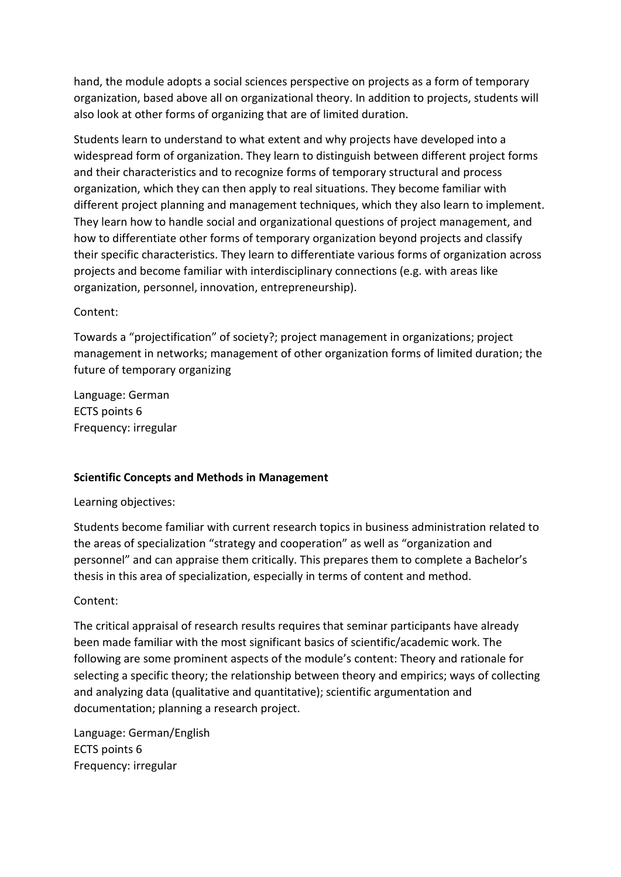hand, the module adopts a social sciences perspective on projects as a form of temporary organization, based above all on organizational theory. In addition to projects, students will also look at other forms of organizing that are of limited duration.

Students learn to understand to what extent and why projects have developed into a widespread form of organization. They learn to distinguish between different project forms and their characteristics and to recognize forms of temporary structural and process organization, which they can then apply to real situations. They become familiar with different project planning and management techniques, which they also learn to implement. They learn how to handle social and organizational questions of project management, and how to differentiate other forms of temporary organization beyond projects and classify their specific characteristics. They learn to differentiate various forms of organization across projects and become familiar with interdisciplinary connections (e.g. with areas like organization, personnel, innovation, entrepreneurship).

## Content:

Towards a "projectification" of society?; project management in organizations; project management in networks; management of other organization forms of limited duration; the future of temporary organizing

Language: German ECTS points 6 Frequency: irregular

# **Scientific Concepts and Methods in Management**

#### Learning objectives:

Students become familiar with current research topics in business administration related to the areas of specialization "strategy and cooperation" as well as "organization and personnel" and can appraise them critically. This prepares them to complete a Bachelor's thesis in this area of specialization, especially in terms of content and method.

# Content:

The critical appraisal of research results requires that seminar participants have already been made familiar with the most significant basics of scientific/academic work. The following are some prominent aspects of the module's content: Theory and rationale for selecting a specific theory; the relationship between theory and empirics; ways of collecting and analyzing data (qualitative and quantitative); scientific argumentation and documentation; planning a research project.

Language: German/English ECTS points 6 Frequency: irregular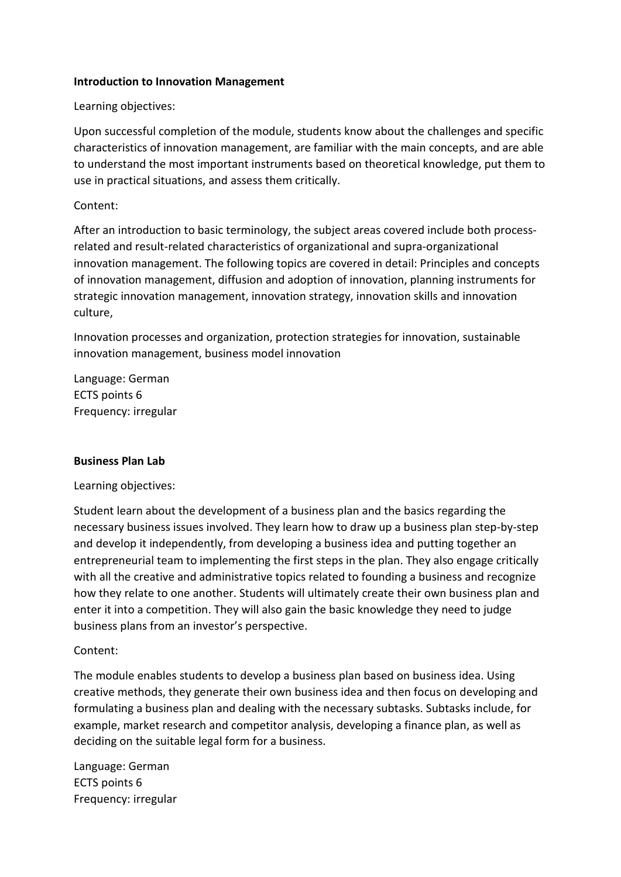### **Introduction to Innovation Management**

## Learning objectives:

Upon successful completion of the module, students know about the challenges and specific characteristics of innovation management, are familiar with the main concepts, and are able to understand the most important instruments based on theoretical knowledge, put them to use in practical situations, and assess them critically.

## Content:

After an introduction to basic terminology, the subject areas covered include both processrelated and result-related characteristics of organizational and supra-organizational innovation management. The following topics are covered in detail: Principles and concepts of innovation management, diffusion and adoption of innovation, planning instruments for strategic innovation management, innovation strategy, innovation skills and innovation culture,

Innovation processes and organization, protection strategies for innovation, sustainable innovation management, business model innovation

Language: German ECTS points 6 Frequency: irregular

#### **Business Plan Lab**

#### Learning objectives:

Student learn about the development of a business plan and the basics regarding the necessary business issues involved. They learn how to draw up a business plan step-by-step and develop it independently, from developing a business idea and putting together an entrepreneurial team to implementing the first steps in the plan. They also engage critically with all the creative and administrative topics related to founding a business and recognize how they relate to one another. Students will ultimately create their own business plan and enter it into a competition. They will also gain the basic knowledge they need to judge business plans from an investor's perspective.

# Content:

The module enables students to develop a business plan based on business idea. Using creative methods, they generate their own business idea and then focus on developing and formulating a business plan and dealing with the necessary subtasks. Subtasks include, for example, market research and competitor analysis, developing a finance plan, as well as deciding on the suitable legal form for a business.

Language: German ECTS points 6 Frequency: irregular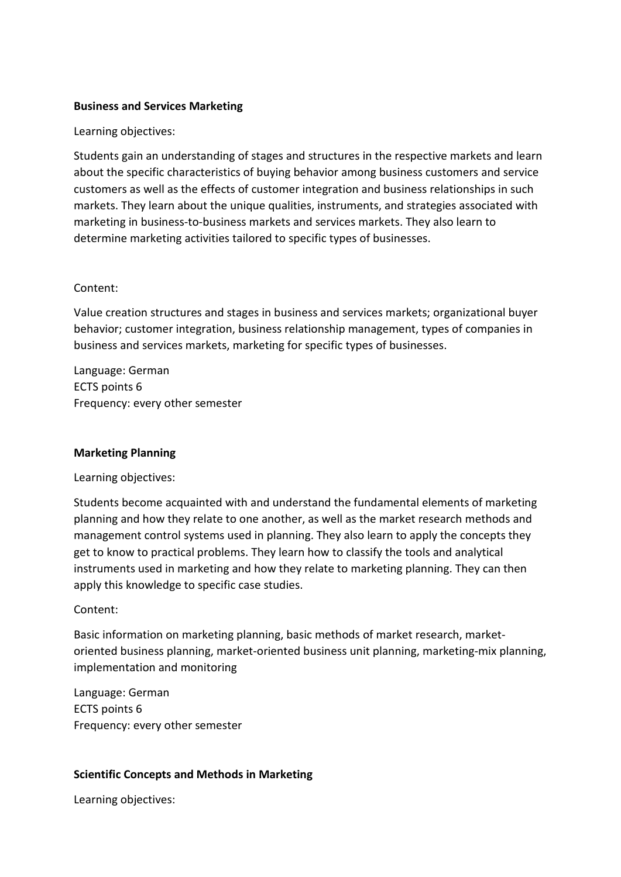## **Business and Services Marketing**

#### Learning objectives:

Students gain an understanding of stages and structures in the respective markets and learn about the specific characteristics of buying behavior among business customers and service customers as well as the effects of customer integration and business relationships in such markets. They learn about the unique qualities, instruments, and strategies associated with marketing in business-to-business markets and services markets. They also learn to determine marketing activities tailored to specific types of businesses.

#### Content:

Value creation structures and stages in business and services markets; organizational buyer behavior; customer integration, business relationship management, types of companies in business and services markets, marketing for specific types of businesses.

Language: German ECTS points 6 Frequency: every other semester

#### **Marketing Planning**

Learning objectives:

Students become acquainted with and understand the fundamental elements of marketing planning and how they relate to one another, as well as the market research methods and management control systems used in planning. They also learn to apply the concepts they get to know to practical problems. They learn how to classify the tools and analytical instruments used in marketing and how they relate to marketing planning. They can then apply this knowledge to specific case studies.

#### Content:

Basic information on marketing planning, basic methods of market research, marketoriented business planning, market-oriented business unit planning, marketing-mix planning, implementation and monitoring

Language: German ECTS points 6 Frequency: every other semester

# **Scientific Concepts and Methods in Marketing**

Learning objectives: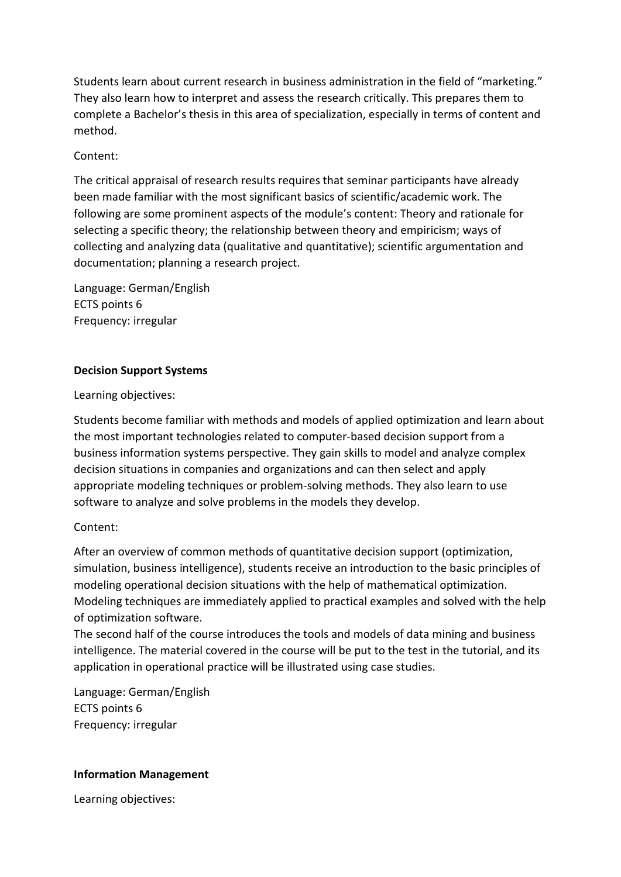Students learn about current research in business administration in the field of "marketing." They also learn how to interpret and assess the research critically. This prepares them to complete a Bachelor's thesis in this area of specialization, especially in terms of content and method.

# Content:

The critical appraisal of research results requires that seminar participants have already been made familiar with the most significant basics of scientific/academic work. The following are some prominent aspects of the module's content: Theory and rationale for selecting a specific theory; the relationship between theory and empiricism; ways of collecting and analyzing data (qualitative and quantitative); scientific argumentation and documentation; planning a research project.

Language: German/English ECTS points 6 Frequency: irregular

# **Decision Support Systems**

# Learning objectives:

Students become familiar with methods and models of applied optimization and learn about the most important technologies related to computer-based decision support from a business information systems perspective. They gain skills to model and analyze complex decision situations in companies and organizations and can then select and apply appropriate modeling techniques or problem-solving methods. They also learn to use software to analyze and solve problems in the models they develop.

# Content:

After an overview of common methods of quantitative decision support (optimization, simulation, business intelligence), students receive an introduction to the basic principles of modeling operational decision situations with the help of mathematical optimization. Modeling techniques are immediately applied to practical examples and solved with the help of optimization software.

The second half of the course introduces the tools and models of data mining and business intelligence. The material covered in the course will be put to the test in the tutorial, and its application in operational practice will be illustrated using case studies.

Language: German/English ECTS points 6 Frequency: irregular

# **Information Management**

Learning objectives: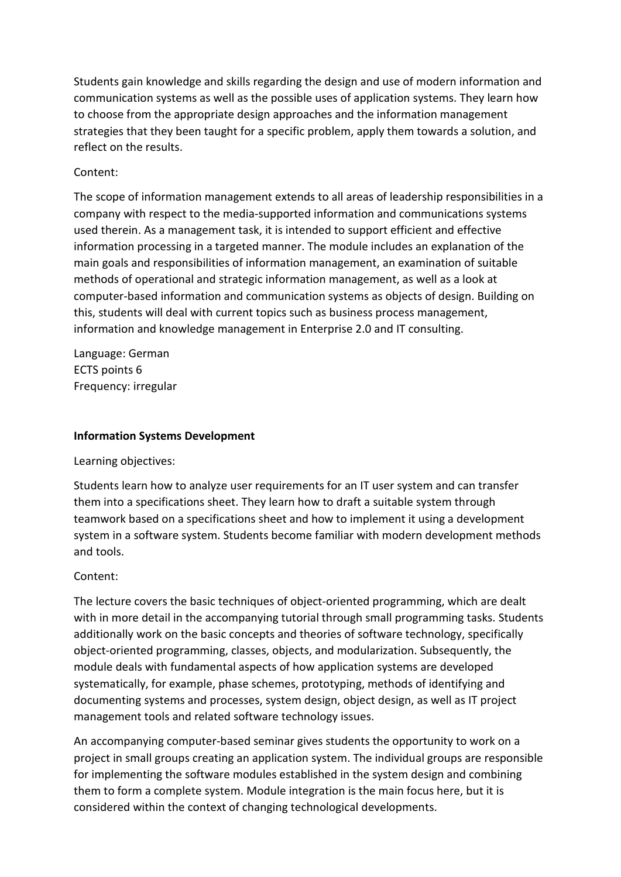Students gain knowledge and skills regarding the design and use of modern information and communication systems as well as the possible uses of application systems. They learn how to choose from the appropriate design approaches and the information management strategies that they been taught for a specific problem, apply them towards a solution, and reflect on the results.

# Content:

The scope of information management extends to all areas of leadership responsibilities in a company with respect to the media-supported information and communications systems used therein. As a management task, it is intended to support efficient and effective information processing in a targeted manner. The module includes an explanation of the main goals and responsibilities of information management, an examination of suitable methods of operational and strategic information management, as well as a look at computer-based information and communication systems as objects of design. Building on this, students will deal with current topics such as business process management, information and knowledge management in Enterprise 2.0 and IT consulting.

Language: German ECTS points 6 Frequency: irregular

# **Information Systems Development**

Learning objectives:

Students learn how to analyze user requirements for an IT user system and can transfer them into a specifications sheet. They learn how to draft a suitable system through teamwork based on a specifications sheet and how to implement it using a development system in a software system. Students become familiar with modern development methods and tools.

# Content:

The lecture covers the basic techniques of object-oriented programming, which are dealt with in more detail in the accompanying tutorial through small programming tasks. Students additionally work on the basic concepts and theories of software technology, specifically object-oriented programming, classes, objects, and modularization. Subsequently, the module deals with fundamental aspects of how application systems are developed systematically, for example, phase schemes, prototyping, methods of identifying and documenting systems and processes, system design, object design, as well as IT project management tools and related software technology issues.

An accompanying computer-based seminar gives students the opportunity to work on a project in small groups creating an application system. The individual groups are responsible for implementing the software modules established in the system design and combining them to form a complete system. Module integration is the main focus here, but it is considered within the context of changing technological developments.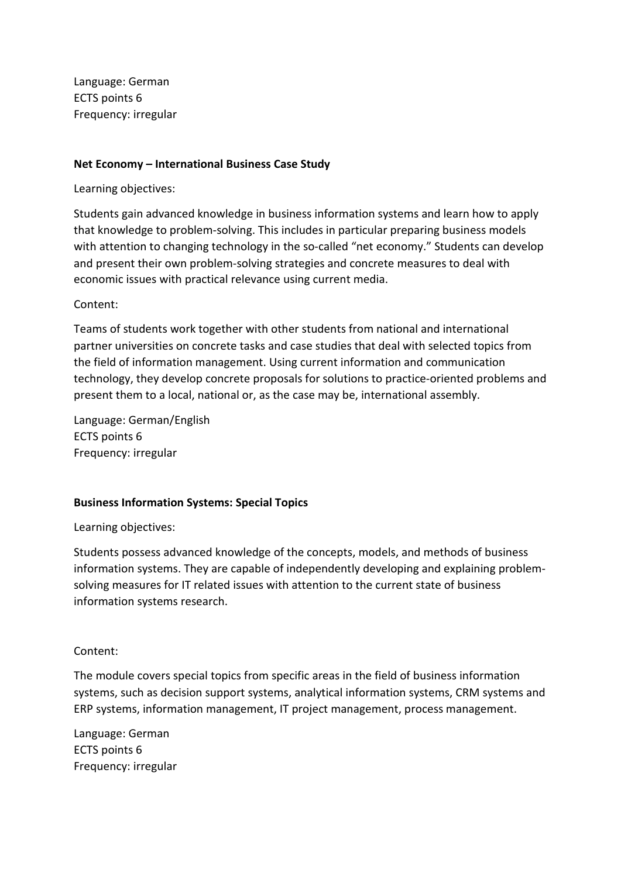Language: German ECTS points 6 Frequency: irregular

### **Net Economy – International Business Case Study**

Learning objectives:

Students gain advanced knowledge in business information systems and learn how to apply that knowledge to problem-solving. This includes in particular preparing business models with attention to changing technology in the so-called "net economy." Students can develop and present their own problem-solving strategies and concrete measures to deal with economic issues with practical relevance using current media.

## Content:

Teams of students work together with other students from national and international partner universities on concrete tasks and case studies that deal with selected topics from the field of information management. Using current information and communication technology, they develop concrete proposals for solutions to practice-oriented problems and present them to a local, national or, as the case may be, international assembly.

Language: German/English ECTS points 6 Frequency: irregular

#### **Business Information Systems: Special Topics**

Learning objectives:

Students possess advanced knowledge of the concepts, models, and methods of business information systems. They are capable of independently developing and explaining problemsolving measures for IT related issues with attention to the current state of business information systems research.

# Content:

The module covers special topics from specific areas in the field of business information systems, such as decision support systems, analytical information systems, CRM systems and ERP systems, information management, IT project management, process management.

Language: German ECTS points 6 Frequency: irregular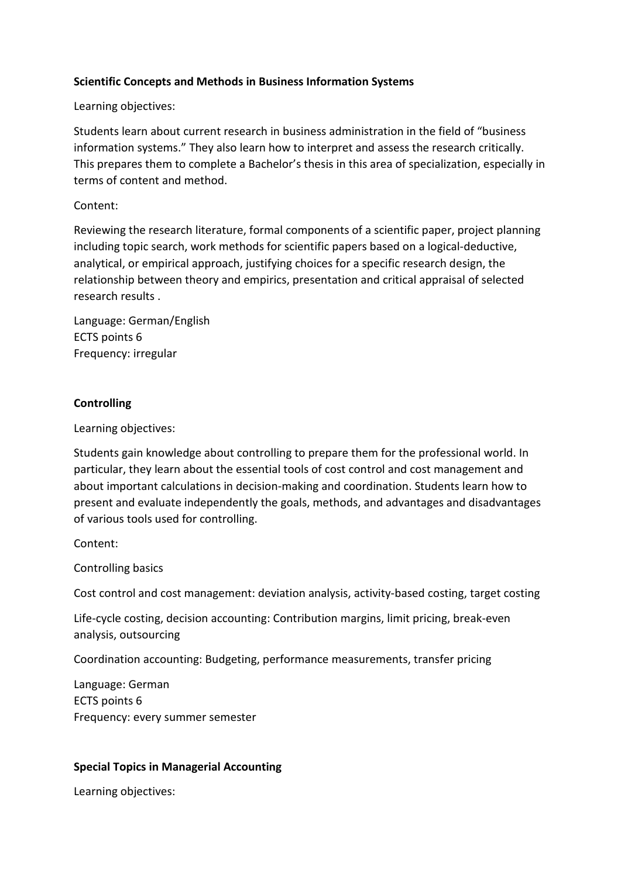# **Scientific Concepts and Methods in Business Information Systems**

Learning objectives:

Students learn about current research in business administration in the field of "business information systems." They also learn how to interpret and assess the research critically. This prepares them to complete a Bachelor's thesis in this area of specialization, especially in terms of content and method.

### Content:

Reviewing the research literature, formal components of a scientific paper, project planning including topic search, work methods for scientific papers based on a logical-deductive, analytical, or empirical approach, justifying choices for a specific research design, the relationship between theory and empirics, presentation and critical appraisal of selected research results .

Language: German/English ECTS points 6 Frequency: irregular

## **Controlling**

Learning objectives:

Students gain knowledge about controlling to prepare them for the professional world. In particular, they learn about the essential tools of cost control and cost management and about important calculations in decision-making and coordination. Students learn how to present and evaluate independently the goals, methods, and advantages and disadvantages of various tools used for controlling.

Content:

Controlling basics

Cost control and cost management: deviation analysis, activity-based costing, target costing

Life-cycle costing, decision accounting: Contribution margins, limit pricing, break-even analysis, outsourcing

Coordination accounting: Budgeting, performance measurements, transfer pricing

Language: German ECTS points 6 Frequency: every summer semester

#### **Special Topics in Managerial Accounting**

Learning objectives: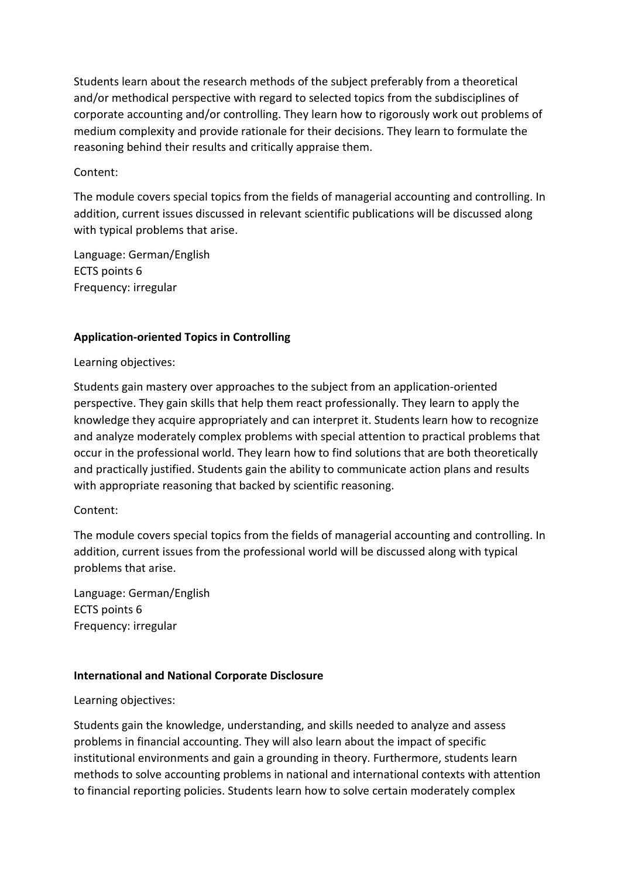Students learn about the research methods of the subject preferably from a theoretical and/or methodical perspective with regard to selected topics from the subdisciplines of corporate accounting and/or controlling. They learn how to rigorously work out problems of medium complexity and provide rationale for their decisions. They learn to formulate the reasoning behind their results and critically appraise them.

# Content:

The module covers special topics from the fields of managerial accounting and controlling. In addition, current issues discussed in relevant scientific publications will be discussed along with typical problems that arise.

Language: German/English ECTS points 6 Frequency: irregular

# **Application-oriented Topics in Controlling**

Learning objectives:

Students gain mastery over approaches to the subject from an application-oriented perspective. They gain skills that help them react professionally. They learn to apply the knowledge they acquire appropriately and can interpret it. Students learn how to recognize and analyze moderately complex problems with special attention to practical problems that occur in the professional world. They learn how to find solutions that are both theoretically and practically justified. Students gain the ability to communicate action plans and results with appropriate reasoning that backed by scientific reasoning.

#### Content:

The module covers special topics from the fields of managerial accounting and controlling. In addition, current issues from the professional world will be discussed along with typical problems that arise.

Language: German/English ECTS points 6 Frequency: irregular

#### **International and National Corporate Disclosure**

#### Learning objectives:

Students gain the knowledge, understanding, and skills needed to analyze and assess problems in financial accounting. They will also learn about the impact of specific institutional environments and gain a grounding in theory. Furthermore, students learn methods to solve accounting problems in national and international contexts with attention to financial reporting policies. Students learn how to solve certain moderately complex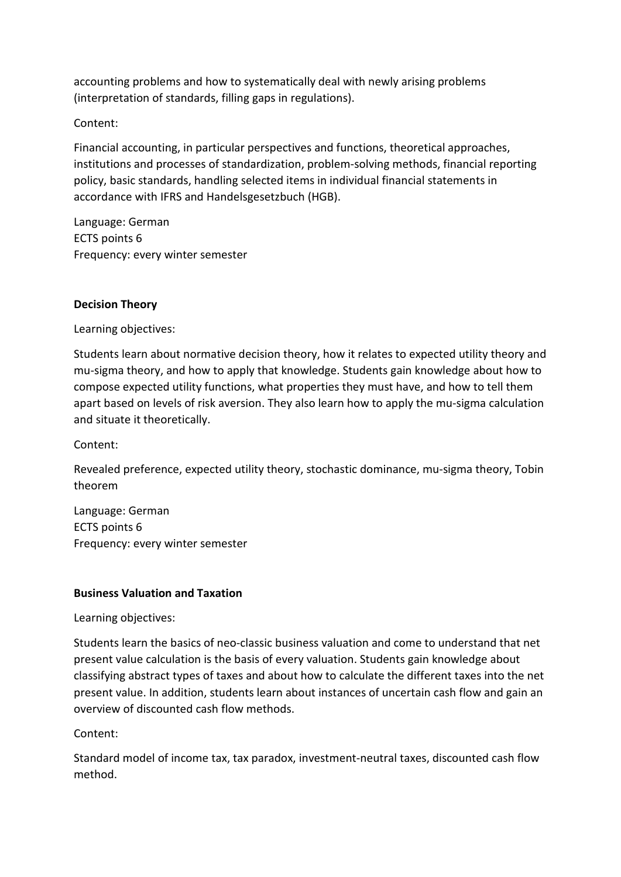accounting problems and how to systematically deal with newly arising problems (interpretation of standards, filling gaps in regulations).

Content:

Financial accounting, in particular perspectives and functions, theoretical approaches, institutions and processes of standardization, problem-solving methods, financial reporting policy, basic standards, handling selected items in individual financial statements in accordance with IFRS and Handelsgesetzbuch (HGB).

Language: German ECTS points 6 Frequency: every winter semester

## **Decision Theory**

Learning objectives:

Students learn about normative decision theory, how it relates to expected utility theory and mu-sigma theory, and how to apply that knowledge. Students gain knowledge about how to compose expected utility functions, what properties they must have, and how to tell them apart based on levels of risk aversion. They also learn how to apply the mu-sigma calculation and situate it theoretically.

Content:

Revealed preference, expected utility theory, stochastic dominance, mu-sigma theory, Tobin theorem

Language: German ECTS points 6 Frequency: every winter semester

# **Business Valuation and Taxation**

Learning objectives:

Students learn the basics of neo-classic business valuation and come to understand that net present value calculation is the basis of every valuation. Students gain knowledge about classifying abstract types of taxes and about how to calculate the different taxes into the net present value. In addition, students learn about instances of uncertain cash flow and gain an overview of discounted cash flow methods.

Content:

Standard model of income tax, tax paradox, investment-neutral taxes, discounted cash flow method.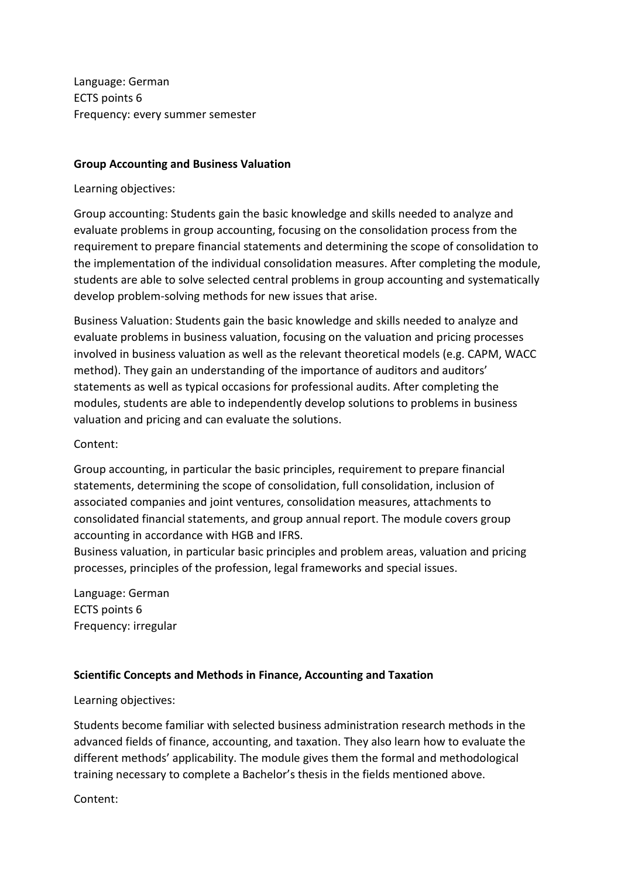Language: German ECTS points 6 Frequency: every summer semester

### **Group Accounting and Business Valuation**

Learning objectives:

Group accounting: Students gain the basic knowledge and skills needed to analyze and evaluate problems in group accounting, focusing on the consolidation process from the requirement to prepare financial statements and determining the scope of consolidation to the implementation of the individual consolidation measures. After completing the module, students are able to solve selected central problems in group accounting and systematically develop problem-solving methods for new issues that arise.

Business Valuation: Students gain the basic knowledge and skills needed to analyze and evaluate problems in business valuation, focusing on the valuation and pricing processes involved in business valuation as well as the relevant theoretical models (e.g. CAPM, WACC method). They gain an understanding of the importance of auditors and auditors' statements as well as typical occasions for professional audits. After completing the modules, students are able to independently develop solutions to problems in business valuation and pricing and can evaluate the solutions.

## Content:

Group accounting, in particular the basic principles, requirement to prepare financial statements, determining the scope of consolidation, full consolidation, inclusion of associated companies and joint ventures, consolidation measures, attachments to consolidated financial statements, and group annual report. The module covers group accounting in accordance with HGB and IFRS.

Business valuation, in particular basic principles and problem areas, valuation and pricing processes, principles of the profession, legal frameworks and special issues.

Language: German ECTS points 6 Frequency: irregular

# **Scientific Concepts and Methods in Finance, Accounting and Taxation**

Learning objectives:

Students become familiar with selected business administration research methods in the advanced fields of finance, accounting, and taxation. They also learn how to evaluate the different methods' applicability. The module gives them the formal and methodological training necessary to complete a Bachelor's thesis in the fields mentioned above.

Content: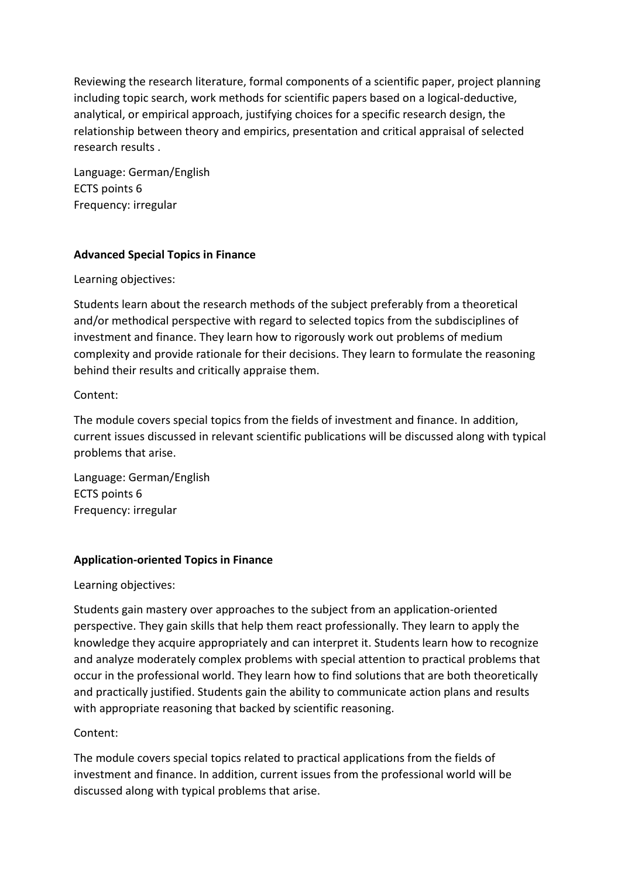Reviewing the research literature, formal components of a scientific paper, project planning including topic search, work methods for scientific papers based on a logical-deductive, analytical, or empirical approach, justifying choices for a specific research design, the relationship between theory and empirics, presentation and critical appraisal of selected research results .

Language: German/English ECTS points 6 Frequency: irregular

# **Advanced Special Topics in Finance**

Learning objectives:

Students learn about the research methods of the subject preferably from a theoretical and/or methodical perspective with regard to selected topics from the subdisciplines of investment and finance. They learn how to rigorously work out problems of medium complexity and provide rationale for their decisions. They learn to formulate the reasoning behind their results and critically appraise them.

# Content:

The module covers special topics from the fields of investment and finance. In addition, current issues discussed in relevant scientific publications will be discussed along with typical problems that arise.

Language: German/English ECTS points 6 Frequency: irregular

# **Application-oriented Topics in Finance**

Learning objectives:

Students gain mastery over approaches to the subject from an application-oriented perspective. They gain skills that help them react professionally. They learn to apply the knowledge they acquire appropriately and can interpret it. Students learn how to recognize and analyze moderately complex problems with special attention to practical problems that occur in the professional world. They learn how to find solutions that are both theoretically and practically justified. Students gain the ability to communicate action plans and results with appropriate reasoning that backed by scientific reasoning.

# Content:

The module covers special topics related to practical applications from the fields of investment and finance. In addition, current issues from the professional world will be discussed along with typical problems that arise.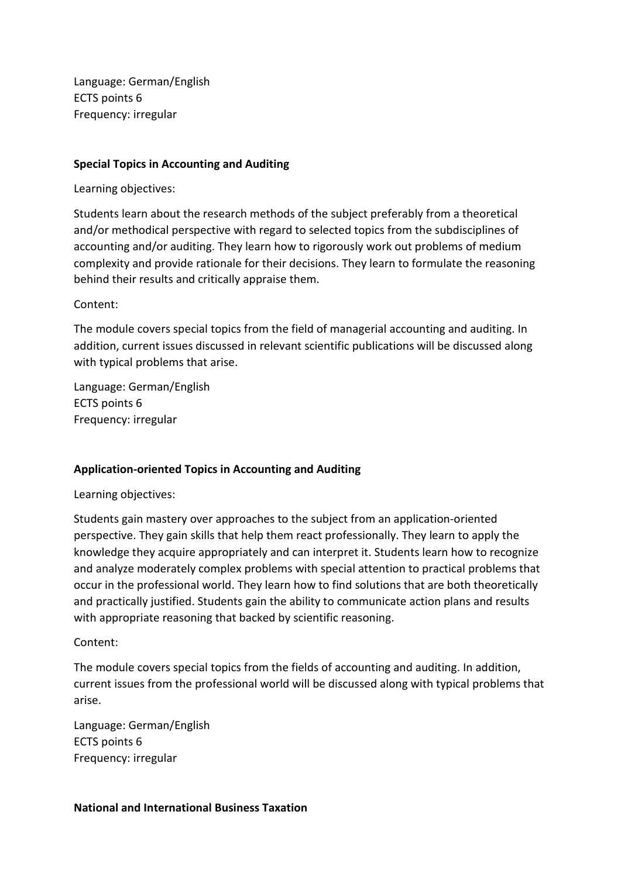Language: German/English ECTS points 6 Frequency: irregular

#### **Special Topics in Accounting and Auditing**

Learning objectives:

Students learn about the research methods of the subject preferably from a theoretical and/or methodical perspective with regard to selected topics from the subdisciplines of accounting and/or auditing. They learn how to rigorously work out problems of medium complexity and provide rationale for their decisions. They learn to formulate the reasoning behind their results and critically appraise them.

Content:

The module covers special topics from the field of managerial accounting and auditing. In addition, current issues discussed in relevant scientific publications will be discussed along with typical problems that arise.

Language: German/English ECTS points 6 Frequency: irregular

# **Application-oriented Topics in Accounting and Auditing**

Learning objectives:

Students gain mastery over approaches to the subject from an application-oriented perspective. They gain skills that help them react professionally. They learn to apply the knowledge they acquire appropriately and can interpret it. Students learn how to recognize and analyze moderately complex problems with special attention to practical problems that occur in the professional world. They learn how to find solutions that are both theoretically and practically justified. Students gain the ability to communicate action plans and results with appropriate reasoning that backed by scientific reasoning.

#### Content:

The module covers special topics from the fields of accounting and auditing. In addition, current issues from the professional world will be discussed along with typical problems that arise.

Language: German/English ECTS points 6 Frequency: irregular

#### **National and International Business Taxation**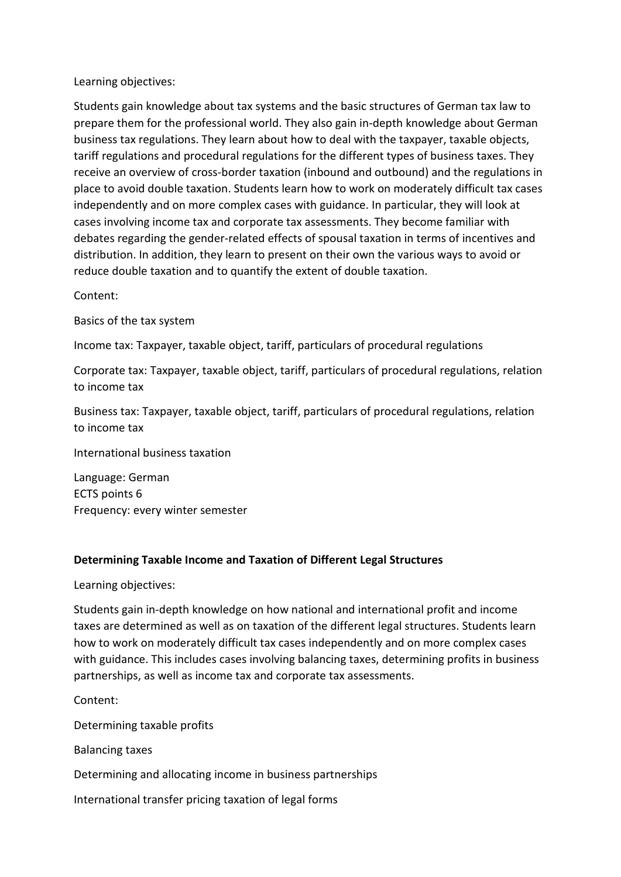## Learning objectives:

Students gain knowledge about tax systems and the basic structures of German tax law to prepare them for the professional world. They also gain in-depth knowledge about German business tax regulations. They learn about how to deal with the taxpayer, taxable objects, tariff regulations and procedural regulations for the different types of business taxes. They receive an overview of cross-border taxation (inbound and outbound) and the regulations in place to avoid double taxation. Students learn how to work on moderately difficult tax cases independently and on more complex cases with guidance. In particular, they will look at cases involving income tax and corporate tax assessments. They become familiar with debates regarding the gender-related effects of spousal taxation in terms of incentives and distribution. In addition, they learn to present on their own the various ways to avoid or reduce double taxation and to quantify the extent of double taxation.

Content:

Basics of the tax system

Income tax: Taxpayer, taxable object, tariff, particulars of procedural regulations

Corporate tax: Taxpayer, taxable object, tariff, particulars of procedural regulations, relation to income tax

Business tax: Taxpayer, taxable object, tariff, particulars of procedural regulations, relation to income tax

International business taxation

Language: German ECTS points 6 Frequency: every winter semester

# **Determining Taxable Income and Taxation of Different Legal Structures**

Learning objectives:

Students gain in-depth knowledge on how national and international profit and income taxes are determined as well as on taxation of the different legal structures. Students learn how to work on moderately difficult tax cases independently and on more complex cases with guidance. This includes cases involving balancing taxes, determining profits in business partnerships, as well as income tax and corporate tax assessments.

Content:

Determining taxable profits

Balancing taxes

Determining and allocating income in business partnerships

International transfer pricing taxation of legal forms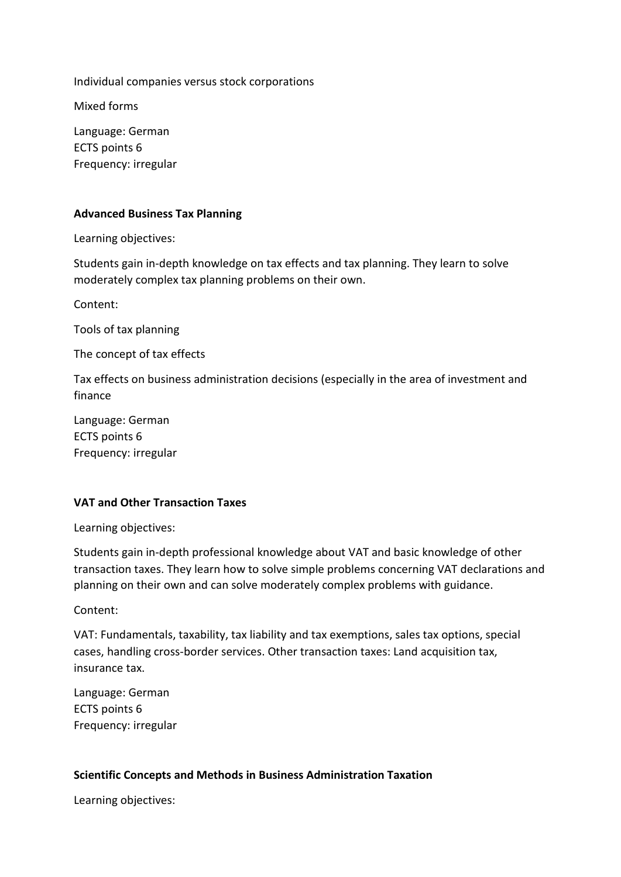Individual companies versus stock corporations

Mixed forms

Language: German ECTS points 6 Frequency: irregular

### **Advanced Business Tax Planning**

Learning objectives:

Students gain in-depth knowledge on tax effects and tax planning. They learn to solve moderately complex tax planning problems on their own.

Content:

Tools of tax planning

The concept of tax effects

Tax effects on business administration decisions (especially in the area of investment and finance

Language: German ECTS points 6 Frequency: irregular

#### **VAT and Other Transaction Taxes**

Learning objectives:

Students gain in-depth professional knowledge about VAT and basic knowledge of other transaction taxes. They learn how to solve simple problems concerning VAT declarations and planning on their own and can solve moderately complex problems with guidance.

Content:

VAT: Fundamentals, taxability, tax liability and tax exemptions, sales tax options, special cases, handling cross-border services. Other transaction taxes: Land acquisition tax, insurance tax.

Language: German ECTS points 6 Frequency: irregular

#### **Scientific Concepts and Methods in Business Administration Taxation**

Learning objectives: